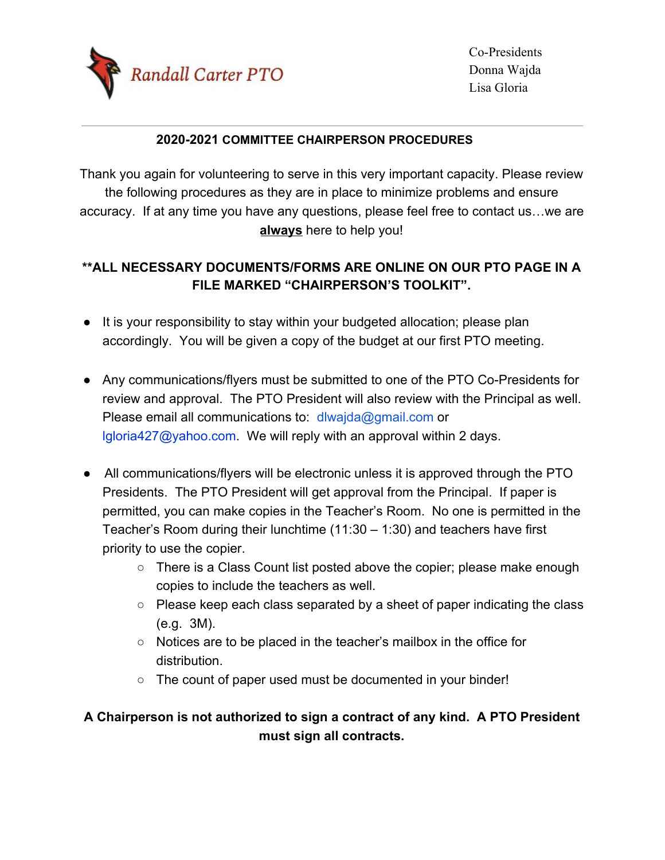

## **2020-2021 COMMITTEE CHAIRPERSON PROCEDURES**

Thank you again for volunteering to serve in this very important capacity. Please review the following procedures as they are in place to minimize problems and ensure accuracy. If at any time you have any questions, please feel free to contact us…we are **always** here to help you!

## **\*\*ALL NECESSARY DOCUMENTS/FORMS ARE ONLINE ON OUR PTO PAGE IN A FILE MARKED "CHAIRPERSON'S TOOLKIT".**

- It is your responsibility to stay within your budgeted allocation; please plan accordingly. You will be given a copy of the budget at our first PTO meeting.
- Any communications/flyers must be submitted to one of the PTO Co-Presidents for review and approval. The PTO President will also review with the Principal as well. Please email all communications to: [dlwajda@gmail.com](mailto:dlwajda@gmail.com) or lgloria427@yahoo.com. We will reply with an approval within 2 days.
- All communications/flyers will be electronic unless it is approved through the PTO Presidents. The PTO President will get approval from the Principal. If paper is permitted, you can make copies in the Teacher's Room. No one is permitted in the Teacher's Room during their lunchtime (11:30 – 1:30) and teachers have first priority to use the copier.
	- There is a Class Count list posted above the copier; please make enough copies to include the teachers as well.
	- Please keep each class separated by a sheet of paper indicating the class (e.g. 3M).
	- Notices are to be placed in the teacher's mailbox in the office for distribution.
	- The count of paper used must be documented in your binder!

## **A Chairperson is not authorized to sign a contract of any kind. A PTO President must sign all contracts.**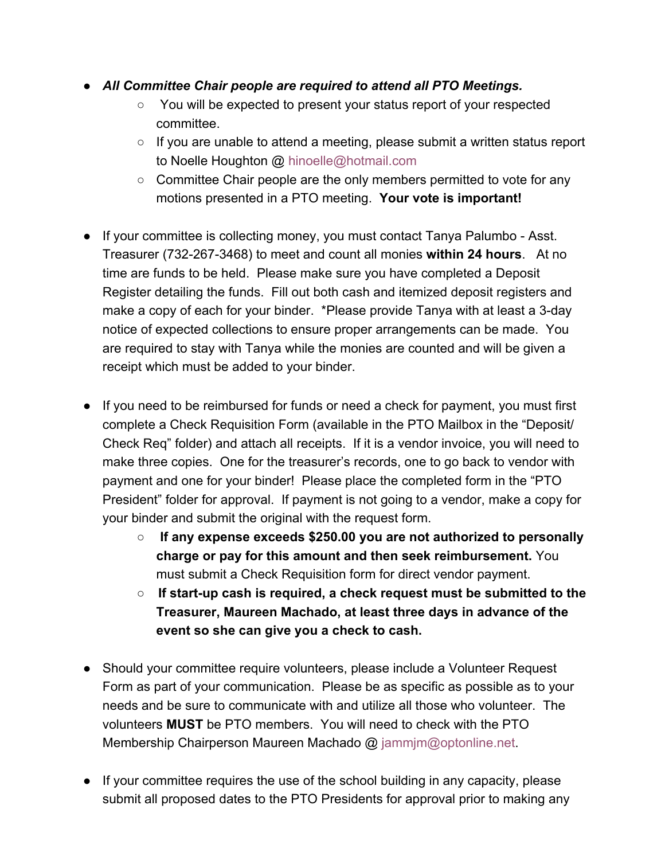- *All Committee Chair people are required to attend all PTO Meetings.*
	- You will be expected to present your status report of your respected committee.
	- $\circ$  If you are unable to attend a meeting, please submit a written status report to Noelle Houghton @ hinoelle@hotmail.com
	- Committee Chair people are the only members permitted to vote for any motions presented in a PTO meeting. **Your vote is important!**
- If your committee is collecting money, you must contact Tanya Palumbo Asst. Treasurer (732-267-3468) to meet and count all monies **within 24 hours**. At no time are funds to be held. Please make sure you have completed a Deposit Register detailing the funds. Fill out both cash and itemized deposit registers and make a copy of each for your binder. \*Please provide Tanya with at least a 3-day notice of expected collections to ensure proper arrangements can be made. You are required to stay with Tanya while the monies are counted and will be given a receipt which must be added to your binder.
- If you need to be reimbursed for funds or need a check for payment, you must first complete a Check Requisition Form (available in the PTO Mailbox in the "Deposit/ Check Req" folder) and attach all receipts. If it is a vendor invoice, you will need to make three copies. One for the treasurer's records, one to go back to vendor with payment and one for your binder! Please place the completed form in the "PTO President" folder for approval. If payment is not going to a vendor, make a copy for your binder and submit the original with the request form.
	- **If any expense exceeds \$250.00 you are not authorized to personally charge or pay for this amount and then seek reimbursement.** You must submit a Check Requisition form for direct vendor payment.
	- **If start-up cash is required, a check request must be submitted to the Treasurer, Maureen Machado, at least three days in advance of the event so she can give you a check to cash.**
- Should your committee require volunteers, please include a Volunteer Request Form as part of your communication. Please be as specific as possible as to your needs and be sure to communicate with and utilize all those who volunteer. The volunteers **MUST** be PTO members. You will need to check with the PTO Membership Chairperson Maureen Machado @ jammjm@optonline.net.
- If your committee requires the use of the school building in any capacity, please submit all proposed dates to the PTO Presidents for approval prior to making any